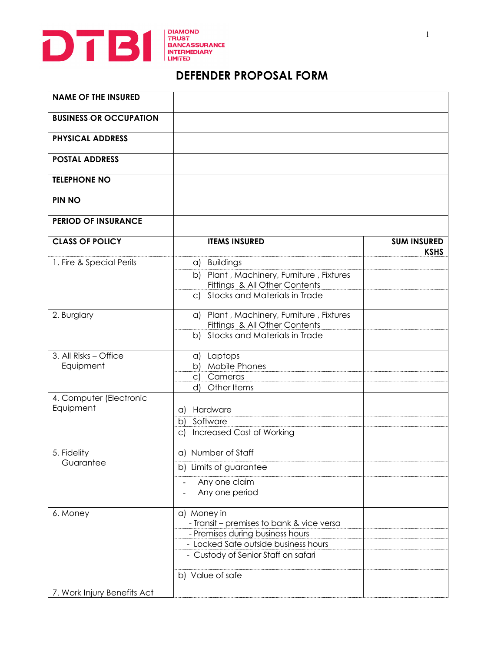

## **DEFENDER PROPOSAL FORM**

| <b>NAME OF THE INSURED</b>    |                                                                               |                                   |
|-------------------------------|-------------------------------------------------------------------------------|-----------------------------------|
| <b>BUSINESS OR OCCUPATION</b> |                                                                               |                                   |
| <b>PHYSICAL ADDRESS</b>       |                                                                               |                                   |
| <b>POSTAL ADDRESS</b>         |                                                                               |                                   |
| <b>TELEPHONE NO</b>           |                                                                               |                                   |
| <b>PIN NO</b>                 |                                                                               |                                   |
| <b>PERIOD OF INSURANCE</b>    |                                                                               |                                   |
| <b>CLASS OF POLICY</b>        | <b>ITEMS INSURED</b>                                                          | <b>SUM INSURED</b><br><b>KSHS</b> |
| 1. Fire & Special Perils      | a) Buildings                                                                  |                                   |
|                               | b) Plant, Machinery, Furniture, Fixtures<br>Fittings & All Other Contents     |                                   |
|                               | Stocks and Materials in Trade<br>C)                                           |                                   |
| 2. Burglary                   | a) Plant, Machinery, Furniture, Fixtures<br>Fittings & All Other Contents     |                                   |
|                               | Stocks and Materials in Trade<br>b)                                           |                                   |
| 3. All Risks - Office         | a) Laptops                                                                    |                                   |
| Equipment                     | Mobile Phones<br>b)                                                           |                                   |
|                               | c) Cameras<br>Other Items<br>d)                                               |                                   |
| 4. Computer (Electronic       |                                                                               |                                   |
| Equipment                     | Hardware<br>a)                                                                |                                   |
|                               | Software<br>$\mathsf{b}$                                                      |                                   |
|                               | <b>Increased Cost of Working</b><br>$\circ$ )                                 |                                   |
| 5. Fidelity<br>Guarantee      | a) Number of Staff                                                            |                                   |
|                               | b) Limits of guarantee                                                        |                                   |
|                               | Any one claim                                                                 |                                   |
|                               | Any one period                                                                |                                   |
| 6. Money                      | a) Money in                                                                   |                                   |
|                               | - Transit – premises to bank & vice versa<br>- Premises during business hours |                                   |
|                               | - Locked Safe outside business hours                                          |                                   |
|                               | - Custody of Senior Staff on safari                                           |                                   |
|                               | b) Value of safe                                                              |                                   |
| 7. Work Injury Benefits Act   |                                                                               |                                   |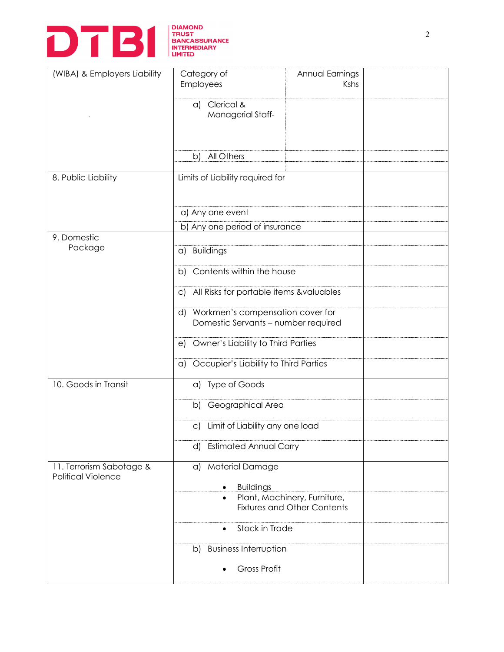

| (WIBA) & Employers Liability                          | Category of<br>Employees                                                      | Annual Earnings<br>Kshs            |  |
|-------------------------------------------------------|-------------------------------------------------------------------------------|------------------------------------|--|
|                                                       | a) Clerical &<br>Managerial Staff-                                            |                                    |  |
|                                                       | All Others<br>b)                                                              |                                    |  |
| 8. Public Liability                                   | Limits of Liability required for                                              |                                    |  |
|                                                       | a) Any one event                                                              |                                    |  |
|                                                       | b) Any one period of insurance                                                |                                    |  |
| 9. Domestic<br>Package                                | <b>Buildings</b><br>a)                                                        |                                    |  |
|                                                       | Contents within the house<br>b)                                               |                                    |  |
|                                                       | All Risks for portable items &valuables<br>$\mathsf{C}$                       |                                    |  |
|                                                       | Workmen's compensation cover for<br>d)<br>Domestic Servants - number required |                                    |  |
|                                                       | Owner's Liability to Third Parties<br>e)                                      |                                    |  |
|                                                       | a) Occupier's Liability to Third Parties                                      |                                    |  |
| 10. Goods in Transit                                  | a) Type of Goods                                                              |                                    |  |
|                                                       | b) Geographical Area                                                          |                                    |  |
|                                                       | Limit of Liability any one load<br>$\mathsf{C}$                               |                                    |  |
|                                                       | <b>Estimated Annual Carry</b><br>d)                                           |                                    |  |
| 11. Terrorism Sabotage &<br><b>Political Violence</b> | a) Material Damage                                                            |                                    |  |
|                                                       | <b>Buildings</b><br>$\bullet$<br>$\bullet$                                    | Plant, Machinery, Furniture,       |  |
|                                                       |                                                                               | <b>Fixtures and Other Contents</b> |  |
|                                                       | Stock in Trade<br>$\bullet$                                                   |                                    |  |
|                                                       | <b>Business Interruption</b><br>b)                                            |                                    |  |
|                                                       | <b>Gross Profit</b>                                                           |                                    |  |